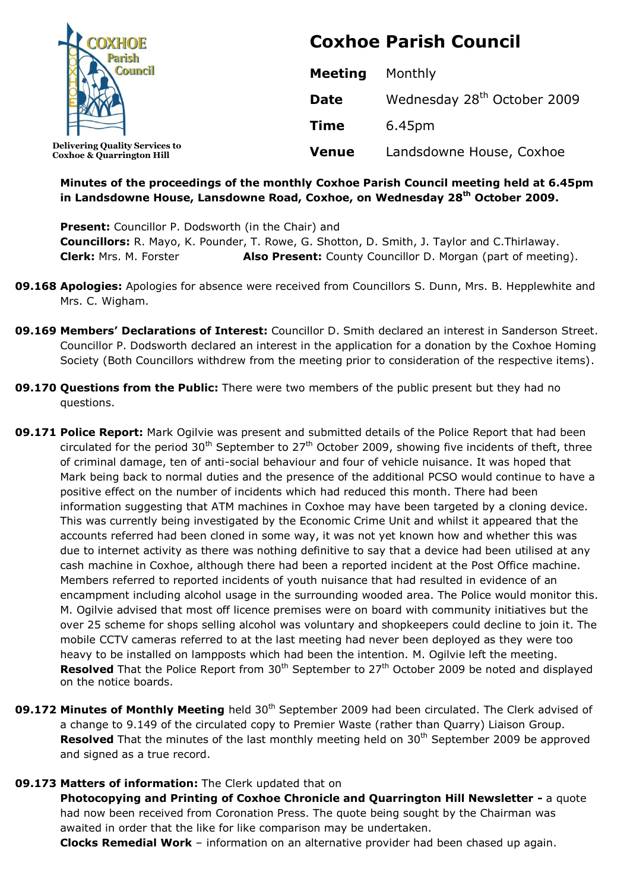

### **Minutes of the proceedings of the monthly Coxhoe Parish Council meeting held at 6.45pm in Landsdowne House, Lansdowne Road, Coxhoe, on Wednesday 28th October 2009.**

**Present:** Councillor P. Dodsworth (in the Chair) and **Councillors:** R. Mayo, K. Pounder, T. Rowe, G. Shotton, D. Smith, J. Taylor and C.Thirlaway. **Clerk:** Mrs. M. Forster **Also Present:** County Councillor D. Morgan (part of meeting).

- **09.168 Apologies:** Apologies for absence were received from Councillors S. Dunn, Mrs. B. Hepplewhite and Mrs. C. Wigham.
- **09.169 Members' Declarations of Interest:** Councillor D. Smith declared an interest in Sanderson Street. Councillor P. Dodsworth declared an interest in the application for a donation by the Coxhoe Homing Society (Both Councillors withdrew from the meeting prior to consideration of the respective items).
- **09.170 Questions from the Public:** There were two members of the public present but they had no questions.
- **09.171 Police Report:** Mark Ogilvie was present and submitted details of the Police Report that had been circulated for the period 30<sup>th</sup> September to 27<sup>th</sup> October 2009, showing five incidents of theft, three of criminal damage, ten of anti-social behaviour and four of vehicle nuisance. It was hoped that Mark being back to normal duties and the presence of the additional PCSO would continue to have a positive effect on the number of incidents which had reduced this month. There had been information suggesting that ATM machines in Coxhoe may have been targeted by a cloning device. This was currently being investigated by the Economic Crime Unit and whilst it appeared that the accounts referred had been cloned in some way, it was not yet known how and whether this was due to internet activity as there was nothing definitive to say that a device had been utilised at any cash machine in Coxhoe, although there had been a reported incident at the Post Office machine. Members referred to reported incidents of youth nuisance that had resulted in evidence of an encampment including alcohol usage in the surrounding wooded area. The Police would monitor this. M. Ogilvie advised that most off licence premises were on board with community initiatives but the over 25 scheme for shops selling alcohol was voluntary and shopkeepers could decline to join it. The mobile CCTV cameras referred to at the last meeting had never been deployed as they were too heavy to be installed on lampposts which had been the intention. M. Ogilvie left the meeting. **Resolved** That the Police Report from 30<sup>th</sup> September to 27<sup>th</sup> October 2009 be noted and displayed on the notice boards.
- **09.172 Minutes of Monthly Meeting** held 30<sup>th</sup> September 2009 had been circulated. The Clerk advised of a change to 9.149 of the circulated copy to Premier Waste (rather than Quarry) Liaison Group. **Resolved** That the minutes of the last monthly meeting held on 30<sup>th</sup> September 2009 be approved and signed as a true record.

#### **09.173 Matters of information:** The Clerk updated that on

**Photocopying and Printing of Coxhoe Chronicle and Quarrington Hill Newsletter -** a quote had now been received from Coronation Press. The quote being sought by the Chairman was awaited in order that the like for like comparison may be undertaken.

**Clocks Remedial Work** – information on an alternative provider had been chased up again.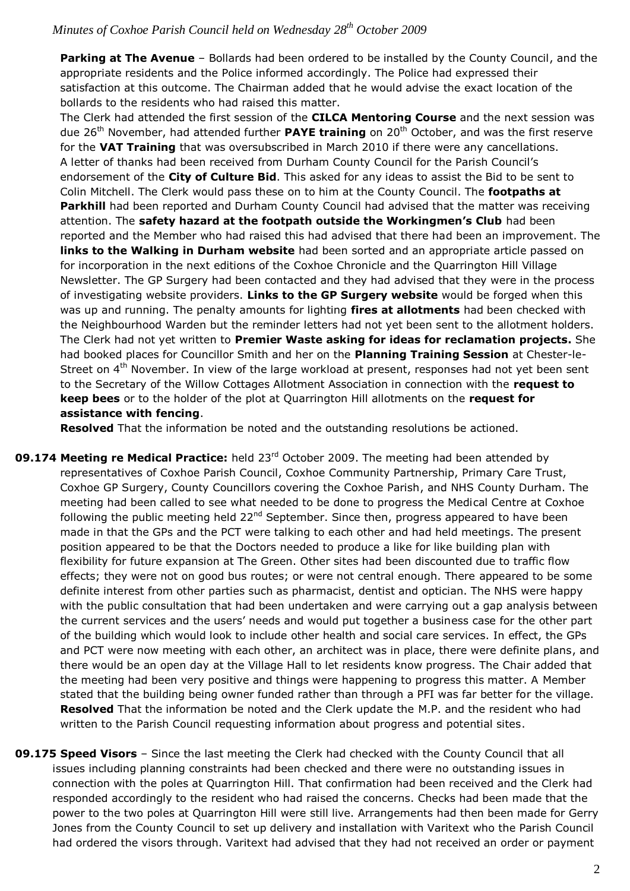**Parking at The Avenue** – Bollards had been ordered to be installed by the County Council, and the appropriate residents and the Police informed accordingly. The Police had expressed their satisfaction at this outcome. The Chairman added that he would advise the exact location of the bollards to the residents who had raised this matter.

The Clerk had attended the first session of the **CILCA Mentoring Course** and the next session was due 26<sup>th</sup> November, had attended further PAYE training on 20<sup>th</sup> October, and was the first reserve for the **VAT Training** that was oversubscribed in March 2010 if there were any cancellations. A letter of thanks had been received from Durham County Council for the Parish Council's endorsement of the **City of Culture Bid**. This asked for any ideas to assist the Bid to be sent to Colin Mitchell. The Clerk would pass these on to him at the County Council. The **footpaths at Parkhill** had been reported and Durham County Council had advised that the matter was receiving attention. The **safety hazard at the footpath outside the Workingmen's Club** had been reported and the Member who had raised this had advised that there had been an improvement. The **links to the Walking in Durham website** had been sorted and an appropriate article passed on for incorporation in the next editions of the Coxhoe Chronicle and the Quarrington Hill Village Newsletter. The GP Surgery had been contacted and they had advised that they were in the process of investigating website providers. **Links to the GP Surgery website** would be forged when this was up and running. The penalty amounts for lighting **fires at allotments** had been checked with the Neighbourhood Warden but the reminder letters had not yet been sent to the allotment holders. The Clerk had not yet written to **Premier Waste asking for ideas for reclamation projects.** She had booked places for Councillor Smith and her on the **Planning Training Session** at Chester-le-Street on  $4<sup>th</sup>$  November. In view of the large workload at present, responses had not yet been sent to the Secretary of the Willow Cottages Allotment Association in connection with the **request to keep bees** or to the holder of the plot at Quarrington Hill allotments on the **request for assistance with fencing**.

**Resolved** That the information be noted and the outstanding resolutions be actioned.

- **09.174 Meeting re Medical Practice:** held 23<sup>rd</sup> October 2009. The meeting had been attended by representatives of Coxhoe Parish Council, Coxhoe Community Partnership, Primary Care Trust, Coxhoe GP Surgery, County Councillors covering the Coxhoe Parish, and NHS County Durham. The meeting had been called to see what needed to be done to progress the Medical Centre at Coxhoe following the public meeting held  $22^{nd}$  September. Since then, progress appeared to have been made in that the GPs and the PCT were talking to each other and had held meetings. The present position appeared to be that the Doctors needed to produce a like for like building plan with flexibility for future expansion at The Green. Other sites had been discounted due to traffic flow effects; they were not on good bus routes; or were not central enough. There appeared to be some definite interest from other parties such as pharmacist, dentist and optician. The NHS were happy with the public consultation that had been undertaken and were carrying out a gap analysis between the current services and the users' needs and would put together a business case for the other part of the building which would look to include other health and social care services. In effect, the GPs and PCT were now meeting with each other, an architect was in place, there were definite plans, and there would be an open day at the Village Hall to let residents know progress. The Chair added that the meeting had been very positive and things were happening to progress this matter. A Member stated that the building being owner funded rather than through a PFI was far better for the village. **Resolved** That the information be noted and the Clerk update the M.P. and the resident who had written to the Parish Council requesting information about progress and potential sites.
- **09.175 Speed Visors** Since the last meeting the Clerk had checked with the County Council that all issues including planning constraints had been checked and there were no outstanding issues in connection with the poles at Quarrington Hill. That confirmation had been received and the Clerk had responded accordingly to the resident who had raised the concerns. Checks had been made that the power to the two poles at Quarrington Hill were still live. Arrangements had then been made for Gerry Jones from the County Council to set up delivery and installation with Varitext who the Parish Council had ordered the visors through. Varitext had advised that they had not received an order or payment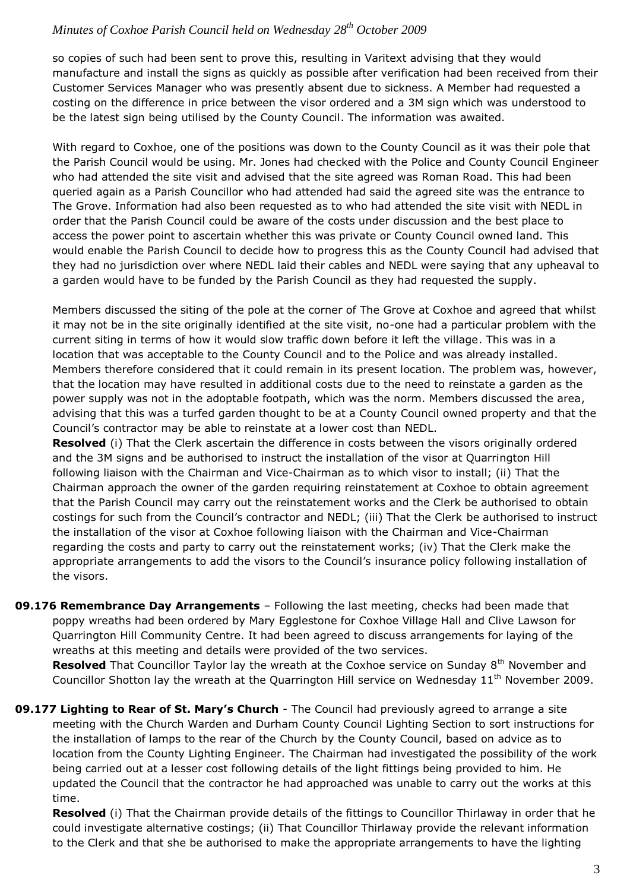so copies of such had been sent to prove this, resulting in Varitext advising that they would manufacture and install the signs as quickly as possible after verification had been received from their Customer Services Manager who was presently absent due to sickness. A Member had requested a costing on the difference in price between the visor ordered and a 3M sign which was understood to be the latest sign being utilised by the County Council. The information was awaited.

With regard to Coxhoe, one of the positions was down to the County Council as it was their pole that the Parish Council would be using. Mr. Jones had checked with the Police and County Council Engineer who had attended the site visit and advised that the site agreed was Roman Road. This had been queried again as a Parish Councillor who had attended had said the agreed site was the entrance to The Grove. Information had also been requested as to who had attended the site visit with NEDL in order that the Parish Council could be aware of the costs under discussion and the best place to access the power point to ascertain whether this was private or County Council owned land. This would enable the Parish Council to decide how to progress this as the County Council had advised that they had no jurisdiction over where NEDL laid their cables and NEDL were saying that any upheaval to a garden would have to be funded by the Parish Council as they had requested the supply.

Members discussed the siting of the pole at the corner of The Grove at Coxhoe and agreed that whilst it may not be in the site originally identified at the site visit, no-one had a particular problem with the current siting in terms of how it would slow traffic down before it left the village. This was in a location that was acceptable to the County Council and to the Police and was already installed. Members therefore considered that it could remain in its present location. The problem was, however, that the location may have resulted in additional costs due to the need to reinstate a garden as the power supply was not in the adoptable footpath, which was the norm. Members discussed the area, advising that this was a turfed garden thought to be at a County Council owned property and that the Council's contractor may be able to reinstate at a lower cost than NEDL.

**Resolved** (i) That the Clerk ascertain the difference in costs between the visors originally ordered and the 3M signs and be authorised to instruct the installation of the visor at Quarrington Hill following liaison with the Chairman and Vice-Chairman as to which visor to install; (ii) That the Chairman approach the owner of the garden requiring reinstatement at Coxhoe to obtain agreement that the Parish Council may carry out the reinstatement works and the Clerk be authorised to obtain costings for such from the Council's contractor and NEDL; (iii) That the Clerk be authorised to instruct the installation of the visor at Coxhoe following liaison with the Chairman and Vice-Chairman regarding the costs and party to carry out the reinstatement works; (iv) That the Clerk make the appropriate arrangements to add the visors to the Council's insurance policy following installation of the visors.

**09.176 Remembrance Day Arrangements** – Following the last meeting, checks had been made that poppy wreaths had been ordered by Mary Egglestone for Coxhoe Village Hall and Clive Lawson for Quarrington Hill Community Centre. It had been agreed to discuss arrangements for laying of the wreaths at this meeting and details were provided of the two services.

**Resolved** That Councillor Taylor lay the wreath at the Coxhoe service on Sunday 8<sup>th</sup> November and Councillor Shotton lay the wreath at the Quarrington Hill service on Wednesday  $11<sup>th</sup>$  November 2009.

**09.177 Lighting to Rear of St. Mary's Church** - The Council had previously agreed to arrange a site meeting with the Church Warden and Durham County Council Lighting Section to sort instructions for the installation of lamps to the rear of the Church by the County Council, based on advice as to location from the County Lighting Engineer. The Chairman had investigated the possibility of the work being carried out at a lesser cost following details of the light fittings being provided to him. He updated the Council that the contractor he had approached was unable to carry out the works at this time.

**Resolved** (i) That the Chairman provide details of the fittings to Councillor Thirlaway in order that he could investigate alternative costings; (ii) That Councillor Thirlaway provide the relevant information to the Clerk and that she be authorised to make the appropriate arrangements to have the lighting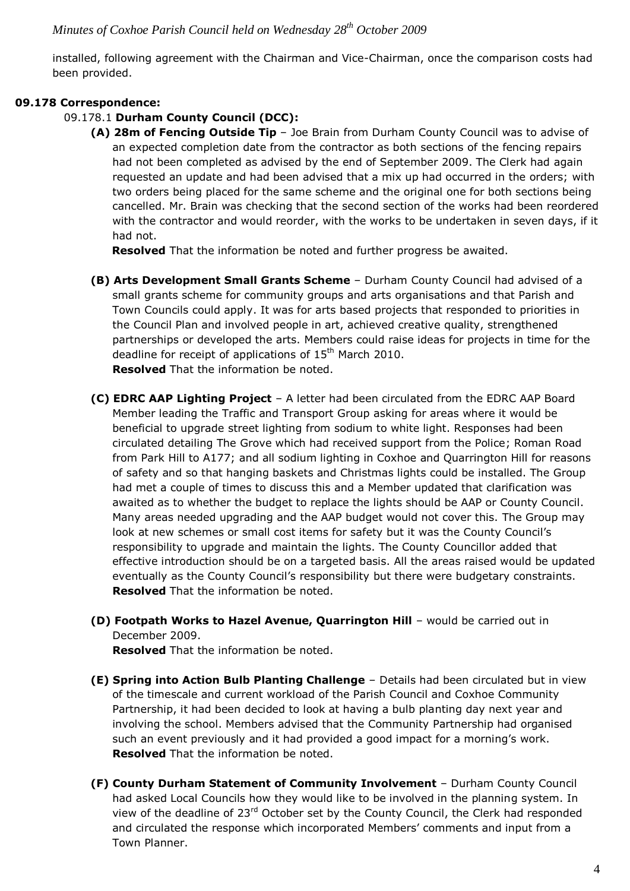installed, following agreement with the Chairman and Vice-Chairman, once the comparison costs had been provided.

#### **09.178 Correspondence:**

#### 09.178.1 **Durham County Council (DCC):**

**(A) 28m of Fencing Outside Tip** – Joe Brain from Durham County Council was to advise of an expected completion date from the contractor as both sections of the fencing repairs had not been completed as advised by the end of September 2009. The Clerk had again requested an update and had been advised that a mix up had occurred in the orders; with two orders being placed for the same scheme and the original one for both sections being cancelled. Mr. Brain was checking that the second section of the works had been reordered with the contractor and would reorder, with the works to be undertaken in seven days, if it had not.

**Resolved** That the information be noted and further progress be awaited.

- **(B) Arts Development Small Grants Scheme** Durham County Council had advised of a small grants scheme for community groups and arts organisations and that Parish and Town Councils could apply. It was for arts based projects that responded to priorities in the Council Plan and involved people in art, achieved creative quality, strengthened partnerships or developed the arts. Members could raise ideas for projects in time for the deadline for receipt of applications of 15<sup>th</sup> March 2010. **Resolved** That the information be noted.
- **(C) EDRC AAP Lighting Project** A letter had been circulated from the EDRC AAP Board Member leading the Traffic and Transport Group asking for areas where it would be beneficial to upgrade street lighting from sodium to white light. Responses had been circulated detailing The Grove which had received support from the Police; Roman Road from Park Hill to A177; and all sodium lighting in Coxhoe and Quarrington Hill for reasons of safety and so that hanging baskets and Christmas lights could be installed. The Group had met a couple of times to discuss this and a Member updated that clarification was awaited as to whether the budget to replace the lights should be AAP or County Council. Many areas needed upgrading and the AAP budget would not cover this. The Group may look at new schemes or small cost items for safety but it was the County Council's responsibility to upgrade and maintain the lights. The County Councillor added that effective introduction should be on a targeted basis. All the areas raised would be updated eventually as the County Council's responsibility but there were budgetary constraints. **Resolved** That the information be noted.
- **(D) Footpath Works to Hazel Avenue, Quarrington Hill** would be carried out in December 2009.

**Resolved** That the information be noted.

- **(E) Spring into Action Bulb Planting Challenge** Details had been circulated but in view of the timescale and current workload of the Parish Council and Coxhoe Community Partnership, it had been decided to look at having a bulb planting day next year and involving the school. Members advised that the Community Partnership had organised such an event previously and it had provided a good impact for a morning's work. **Resolved** That the information be noted.
- **(F) County Durham Statement of Community Involvement** Durham County Council had asked Local Councils how they would like to be involved in the planning system. In view of the deadline of 23<sup>rd</sup> October set by the County Council, the Clerk had responded and circulated the response which incorporated Members' comments and input from a Town Planner.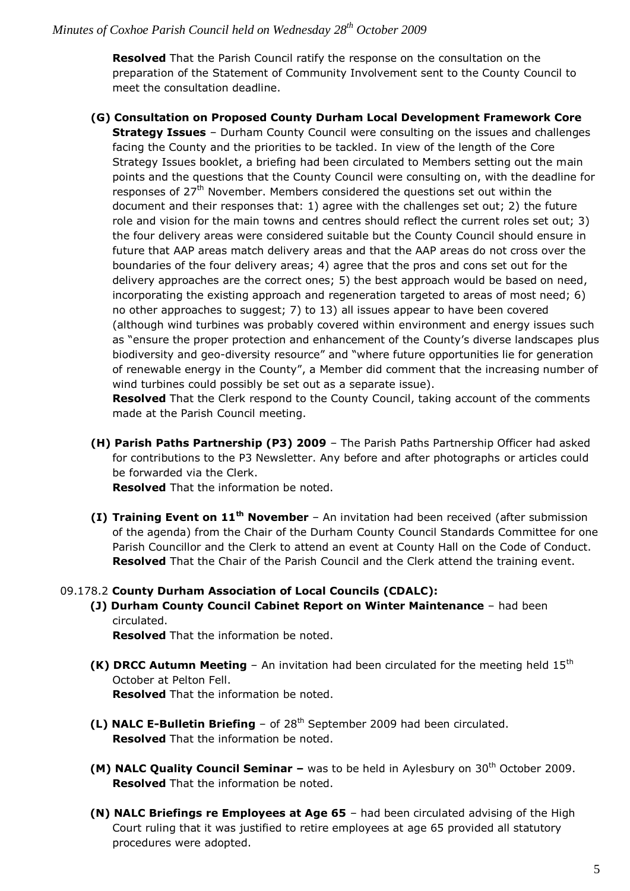**Resolved** That the Parish Council ratify the response on the consultation on the preparation of the Statement of Community Involvement sent to the County Council to meet the consultation deadline.

**(G) Consultation on Proposed County Durham Local Development Framework Core Strategy Issues** - Durham County Council were consulting on the issues and challenges facing the County and the priorities to be tackled. In view of the length of the Core Strategy Issues booklet, a briefing had been circulated to Members setting out the main points and the questions that the County Council were consulting on, with the deadline for responses of  $27<sup>th</sup>$  November. Members considered the questions set out within the document and their responses that: 1) agree with the challenges set out; 2) the future role and vision for the main towns and centres should reflect the current roles set out; 3) the four delivery areas were considered suitable but the County Council should ensure in future that AAP areas match delivery areas and that the AAP areas do not cross over the boundaries of the four delivery areas; 4) agree that the pros and cons set out for the delivery approaches are the correct ones; 5) the best approach would be based on need, incorporating the existing approach and regeneration targeted to areas of most need; 6) no other approaches to suggest; 7) to 13) all issues appear to have been covered (although wind turbines was probably covered within environment and energy issues such as "ensure the proper protection and enhancement of the County's diverse landscapes plus biodiversity and geo-diversity resource" and "where future opportunities lie for generation of renewable energy in the County", a Member did comment that the increasing number of wind turbines could possibly be set out as a separate issue).

**Resolved** That the Clerk respond to the County Council, taking account of the comments made at the Parish Council meeting.

**(H) Parish Paths Partnership (P3) 2009** – The Parish Paths Partnership Officer had asked for contributions to the P3 Newsletter. Any before and after photographs or articles could be forwarded via the Clerk.

**Resolved** That the information be noted.

**(I) Training Event on 11th November** – An invitation had been received (after submission of the agenda) from the Chair of the Durham County Council Standards Committee for one Parish Councillor and the Clerk to attend an event at County Hall on the Code of Conduct. **Resolved** That the Chair of the Parish Council and the Clerk attend the training event.

#### 09.178.2 **County Durham Association of Local Councils (CDALC):**

**(J) Durham County Council Cabinet Report on Winter Maintenance** – had been circulated.

**Resolved** That the information be noted.

- **(K) DRCC Autumn Meeting** An invitation had been circulated for the meeting held 15<sup>th</sup> October at Pelton Fell. **Resolved** That the information be noted.
- **(L) NALC E-Bulletin Briefing** of 28<sup>th</sup> September 2009 had been circulated. **Resolved** That the information be noted.
- **(M) NALC Quality Council Seminar -** was to be held in Aylesbury on 30<sup>th</sup> October 2009. **Resolved** That the information be noted.
- **(N) NALC Briefings re Employees at Age 65** had been circulated advising of the High Court ruling that it was justified to retire employees at age 65 provided all statutory procedures were adopted.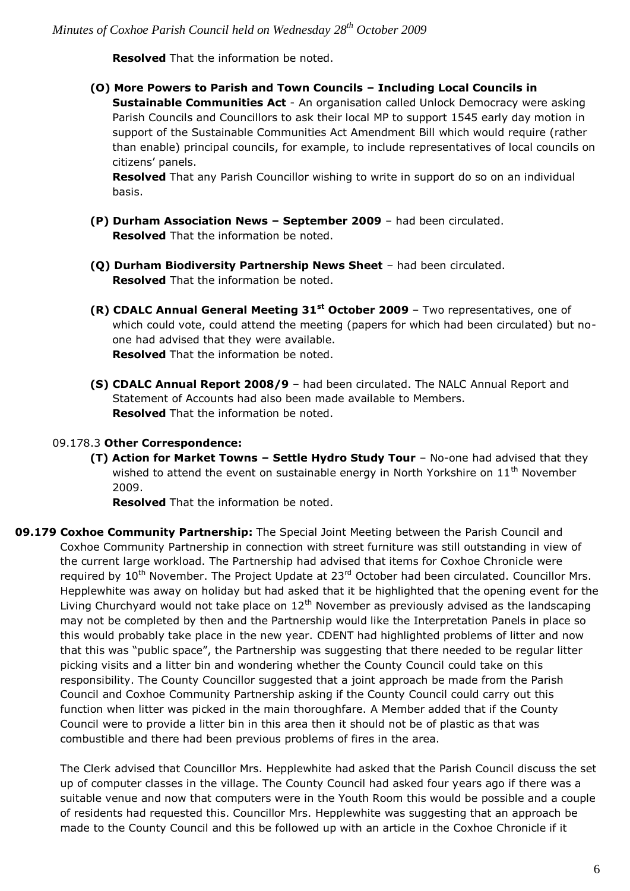**Resolved** That the information be noted.

**(O) More Powers to Parish and Town Councils – Including Local Councils in Sustainable Communities Act** - An organisation called Unlock Democracy were asking Parish Councils and Councillors to ask their local MP to support 1545 early day motion in support of the Sustainable Communities Act Amendment Bill which would require (rather than enable) principal councils, for example, to include representatives of local councils on citizens' panels.

**Resolved** That any Parish Councillor wishing to write in support do so on an individual basis.

- **(P) Durham Association News – September 2009** had been circulated. **Resolved** That the information be noted.
- **(Q) Durham Biodiversity Partnership News Sheet** had been circulated. **Resolved** That the information be noted.
- **(R) CDALC Annual General Meeting 31st October 2009** Two representatives, one of which could vote, could attend the meeting (papers for which had been circulated) but noone had advised that they were available. **Resolved** That the information be noted.
- **(S) CDALC Annual Report 2008/9**  had been circulated. The NALC Annual Report and Statement of Accounts had also been made available to Members. **Resolved** That the information be noted.

### 09.178.3 **Other Correspondence:**

**(T) Action for Market Towns – Settle Hydro Study Tour** – No-one had advised that they wished to attend the event on sustainable energy in North Yorkshire on  $11<sup>th</sup>$  November 2009.

**Resolved** That the information be noted.

**09.179 Coxhoe Community Partnership:** The Special Joint Meeting between the Parish Council and Coxhoe Community Partnership in connection with street furniture was still outstanding in view of the current large workload. The Partnership had advised that items for Coxhoe Chronicle were required by 10<sup>th</sup> November. The Project Update at 23<sup>rd</sup> October had been circulated. Councillor Mrs. Hepplewhite was away on holiday but had asked that it be highlighted that the opening event for the Living Churchyard would not take place on  $12<sup>th</sup>$  November as previously advised as the landscaping may not be completed by then and the Partnership would like the Interpretation Panels in place so this would probably take place in the new year. CDENT had highlighted problems of litter and now that this was "public space", the Partnership was suggesting that there needed to be regular litter picking visits and a litter bin and wondering whether the County Council could take on this responsibility. The County Councillor suggested that a joint approach be made from the Parish Council and Coxhoe Community Partnership asking if the County Council could carry out this function when litter was picked in the main thoroughfare. A Member added that if the County Council were to provide a litter bin in this area then it should not be of plastic as that was combustible and there had been previous problems of fires in the area.

The Clerk advised that Councillor Mrs. Hepplewhite had asked that the Parish Council discuss the set up of computer classes in the village. The County Council had asked four years ago if there was a suitable venue and now that computers were in the Youth Room this would be possible and a couple of residents had requested this. Councillor Mrs. Hepplewhite was suggesting that an approach be made to the County Council and this be followed up with an article in the Coxhoe Chronicle if it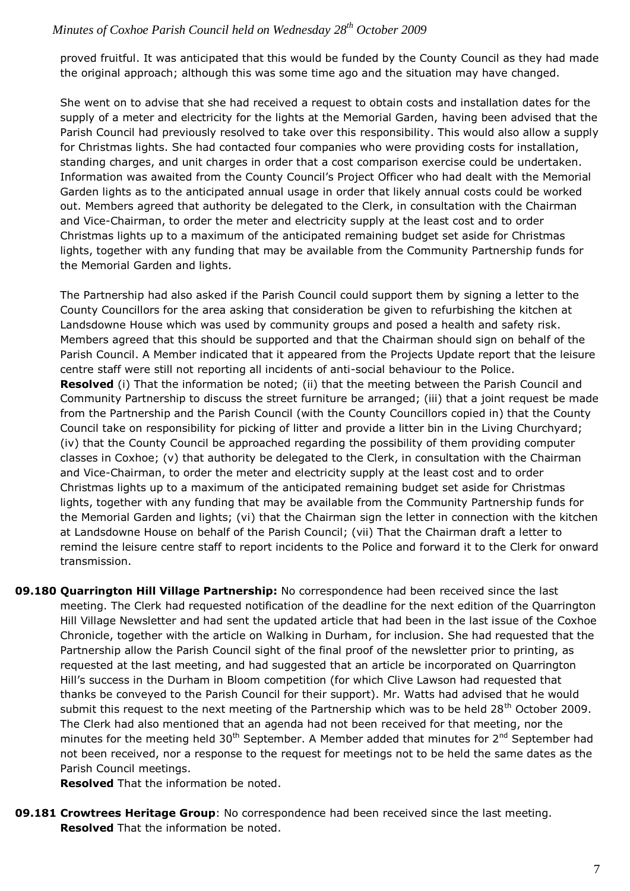proved fruitful. It was anticipated that this would be funded by the County Council as they had made the original approach; although this was some time ago and the situation may have changed.

She went on to advise that she had received a request to obtain costs and installation dates for the supply of a meter and electricity for the lights at the Memorial Garden, having been advised that the Parish Council had previously resolved to take over this responsibility. This would also allow a supply for Christmas lights. She had contacted four companies who were providing costs for installation, standing charges, and unit charges in order that a cost comparison exercise could be undertaken. Information was awaited from the County Council's Project Officer who had dealt with the Memorial Garden lights as to the anticipated annual usage in order that likely annual costs could be worked out. Members agreed that authority be delegated to the Clerk, in consultation with the Chairman and Vice-Chairman, to order the meter and electricity supply at the least cost and to order Christmas lights up to a maximum of the anticipated remaining budget set aside for Christmas lights, together with any funding that may be available from the Community Partnership funds for the Memorial Garden and lights.

The Partnership had also asked if the Parish Council could support them by signing a letter to the County Councillors for the area asking that consideration be given to refurbishing the kitchen at Landsdowne House which was used by community groups and posed a health and safety risk. Members agreed that this should be supported and that the Chairman should sign on behalf of the Parish Council. A Member indicated that it appeared from the Projects Update report that the leisure centre staff were still not reporting all incidents of anti-social behaviour to the Police. **Resolved** (i) That the information be noted; (ii) that the meeting between the Parish Council and Community Partnership to discuss the street furniture be arranged; (iii) that a joint request be made from the Partnership and the Parish Council (with the County Councillors copied in) that the County Council take on responsibility for picking of litter and provide a litter bin in the Living Churchyard; (iv) that the County Council be approached regarding the possibility of them providing computer classes in Coxhoe; (v) that authority be delegated to the Clerk, in consultation with the Chairman and Vice-Chairman, to order the meter and electricity supply at the least cost and to order Christmas lights up to a maximum of the anticipated remaining budget set aside for Christmas lights, together with any funding that may be available from the Community Partnership funds for the Memorial Garden and lights; (vi) that the Chairman sign the letter in connection with the kitchen at Landsdowne House on behalf of the Parish Council; (vii) That the Chairman draft a letter to remind the leisure centre staff to report incidents to the Police and forward it to the Clerk for onward transmission.

**09.180 Quarrington Hill Village Partnership:** No correspondence had been received since the last meeting. The Clerk had requested notification of the deadline for the next edition of the Quarrington Hill Village Newsletter and had sent the updated article that had been in the last issue of the Coxhoe Chronicle, together with the article on Walking in Durham, for inclusion. She had requested that the Partnership allow the Parish Council sight of the final proof of the newsletter prior to printing, as requested at the last meeting, and had suggested that an article be incorporated on Quarrington Hill's success in the Durham in Bloom competition (for which Clive Lawson had requested that thanks be conveyed to the Parish Council for their support). Mr. Watts had advised that he would submit this request to the next meeting of the Partnership which was to be held 28<sup>th</sup> October 2009. The Clerk had also mentioned that an agenda had not been received for that meeting, nor the minutes for the meeting held  $30<sup>th</sup>$  September. A Member added that minutes for  $2<sup>nd</sup>$  September had not been received, nor a response to the request for meetings not to be held the same dates as the Parish Council meetings.

**Resolved** That the information be noted.

**09.181 Crowtrees Heritage Group**: No correspondence had been received since the last meeting. **Resolved** That the information be noted.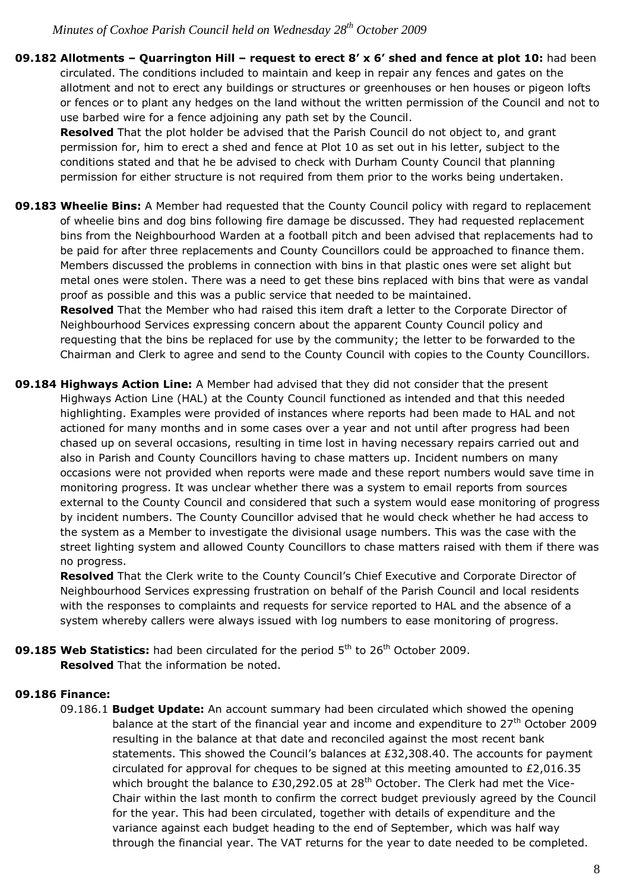### **09.182 Allotments – Quarrington Hill – request to erect 8' x 6' shed and fence at plot 10:** had been circulated. The conditions included to maintain and keep in repair any fences and gates on the allotment and not to erect any buildings or structures or greenhouses or hen houses or pigeon lofts or fences or to plant any hedges on the land without the written permission of the Council and not to use barbed wire for a fence adjoining any path set by the Council.

**Resolved** That the plot holder be advised that the Parish Council do not object to, and grant permission for, him to erect a shed and fence at Plot 10 as set out in his letter, subject to the conditions stated and that he be advised to check with Durham County Council that planning permission for either structure is not required from them prior to the works being undertaken.

**09.183 Wheelie Bins:** A Member had requested that the County Council policy with regard to replacement of wheelie bins and dog bins following fire damage be discussed. They had requested replacement bins from the Neighbourhood Warden at a football pitch and been advised that replacements had to be paid for after three replacements and County Councillors could be approached to finance them. Members discussed the problems in connection with bins in that plastic ones were set alight but metal ones were stolen. There was a need to get these bins replaced with bins that were as vandal proof as possible and this was a public service that needed to be maintained. **Resolved** That the Member who had raised this item draft a letter to the Corporate Director of Neighbourhood Services expressing concern about the apparent County Council policy and requesting that the bins be replaced for use by the community; the letter to be forwarded to the

Chairman and Clerk to agree and send to the County Council with copies to the County Councillors.

**09.184 Highways Action Line:** A Member had advised that they did not consider that the present Highways Action Line (HAL) at the County Council functioned as intended and that this needed highlighting. Examples were provided of instances where reports had been made to HAL and not actioned for many months and in some cases over a year and not until after progress had been chased up on several occasions, resulting in time lost in having necessary repairs carried out and also in Parish and County Councillors having to chase matters up. Incident numbers on many occasions were not provided when reports were made and these report numbers would save time in monitoring progress. It was unclear whether there was a system to email reports from sources external to the County Council and considered that such a system would ease monitoring of progress by incident numbers. The County Councillor advised that he would check whether he had access to the system as a Member to investigate the divisional usage numbers. This was the case with the street lighting system and allowed County Councillors to chase matters raised with them if there was no progress.

**Resolved** That the Clerk write to the County Council's Chief Executive and Corporate Director of Neighbourhood Services expressing frustration on behalf of the Parish Council and local residents with the responses to complaints and requests for service reported to HAL and the absence of a system whereby callers were always issued with log numbers to ease monitoring of progress.

#### **09.185 Web Statistics:** had been circulated for the period 5<sup>th</sup> to 26<sup>th</sup> October 2009. **Resolved** That the information be noted.

## **09.186 Finance:**

09.186.1 **Budget Update:** An account summary had been circulated which showed the opening balance at the start of the financial year and income and expenditure to  $27<sup>th</sup>$  October 2009 resulting in the balance at that date and reconciled against the most recent bank statements. This showed the Council's balances at £32,308.40. The accounts for payment circulated for approval for cheques to be signed at this meeting amounted to  $E2,016.35$ which brought the balance to £30,292.05 at 28<sup>th</sup> October. The Clerk had met the Vice-Chair within the last month to confirm the correct budget previously agreed by the Council for the year. This had been circulated, together with details of expenditure and the variance against each budget heading to the end of September, which was half way through the financial year. The VAT returns for the year to date needed to be completed.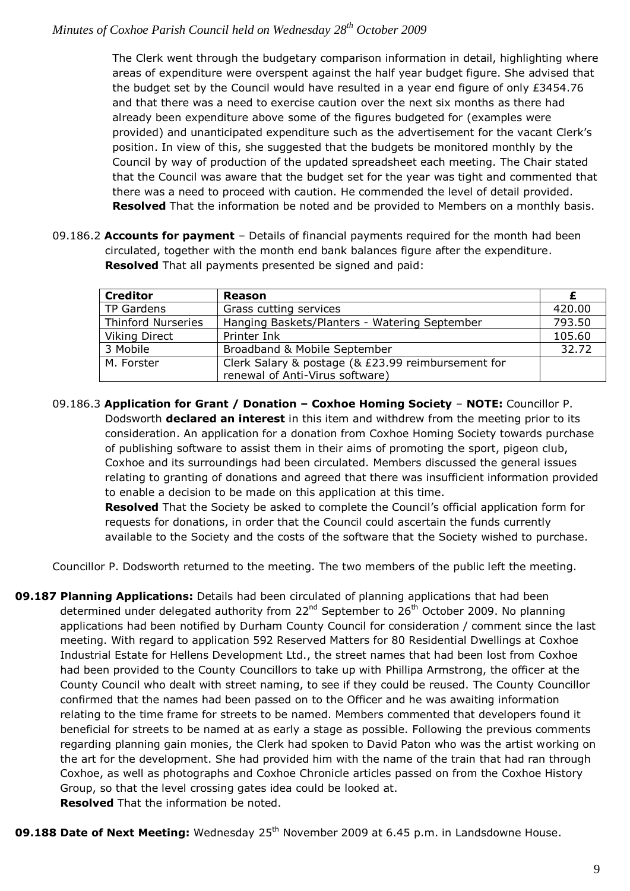The Clerk went through the budgetary comparison information in detail, highlighting where areas of expenditure were overspent against the half year budget figure. She advised that the budget set by the Council would have resulted in a year end figure of only £3454.76 and that there was a need to exercise caution over the next six months as there had already been expenditure above some of the figures budgeted for (examples were provided) and unanticipated expenditure such as the advertisement for the vacant Clerk's position. In view of this, she suggested that the budgets be monitored monthly by the Council by way of production of the updated spreadsheet each meeting. The Chair stated that the Council was aware that the budget set for the year was tight and commented that there was a need to proceed with caution. He commended the level of detail provided. **Resolved** That the information be noted and be provided to Members on a monthly basis.

09.186.2 **Accounts for payment** – Details of financial payments required for the month had been circulated, together with the month end bank balances figure after the expenditure. **Resolved** That all payments presented be signed and paid:

| <b>Creditor</b>           | <b>Reason</b>                                      |        |
|---------------------------|----------------------------------------------------|--------|
| TP Gardens                | Grass cutting services                             | 420.00 |
| <b>Thinford Nurseries</b> | Hanging Baskets/Planters - Watering September      | 793.50 |
| <b>Viking Direct</b>      | Printer Ink                                        | 105.60 |
| 3 Mobile                  | Broadband & Mobile September                       | 32.72  |
| M. Forster                | Clerk Salary & postage (& £23.99 reimbursement for |        |
|                           | renewal of Anti-Virus software)                    |        |

09.186.3 **Application for Grant / Donation – Coxhoe Homing Society** – **NOTE:** Councillor P. Dodsworth **declared an interest** in this item and withdrew from the meeting prior to its consideration. An application for a donation from Coxhoe Homing Society towards purchase of publishing software to assist them in their aims of promoting the sport, pigeon club, Coxhoe and its surroundings had been circulated. Members discussed the general issues relating to granting of donations and agreed that there was insufficient information provided to enable a decision to be made on this application at this time.

**Resolved** That the Society be asked to complete the Council's official application form for requests for donations, in order that the Council could ascertain the funds currently available to the Society and the costs of the software that the Society wished to purchase.

Councillor P. Dodsworth returned to the meeting. The two members of the public left the meeting.

- **09.187 Planning Applications:** Details had been circulated of planning applications that had been determined under delegated authority from 22<sup>nd</sup> September to 26<sup>th</sup> October 2009. No planning applications had been notified by Durham County Council for consideration / comment since the last meeting. With regard to application 592 Reserved Matters for 80 Residential Dwellings at Coxhoe Industrial Estate for Hellens Development Ltd., the street names that had been lost from Coxhoe had been provided to the County Councillors to take up with Phillipa Armstrong, the officer at the County Council who dealt with street naming, to see if they could be reused. The County Councillor confirmed that the names had been passed on to the Officer and he was awaiting information relating to the time frame for streets to be named. Members commented that developers found it beneficial for streets to be named at as early a stage as possible. Following the previous comments regarding planning gain monies, the Clerk had spoken to David Paton who was the artist working on the art for the development. She had provided him with the name of the train that had ran through Coxhoe, as well as photographs and Coxhoe Chronicle articles passed on from the Coxhoe History Group, so that the level crossing gates idea could be looked at. **Resolved** That the information be noted.
- **09.188 Date of Next Meeting:** Wednesday 25<sup>th</sup> November 2009 at 6.45 p.m. in Landsdowne House.